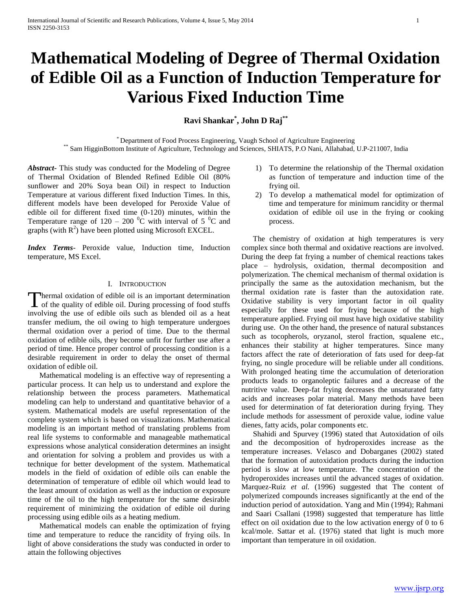# **Mathematical Modeling of Degree of Thermal Oxidation of Edible Oil as a Function of Induction Temperature for Various Fixed Induction Time**

**Ravi Shankar\* , John D Raj\*\***

\* Department of Food Process Engineering, Vaugh School of Agriculture Engineering \*\* Sam HigginBottom Institute of Agriculture, Technology and Sciences, SHIATS, P.O Nani, Allahabad, U.P-211007, India

*Abstract***-** This study was conducted for the Modeling of Degree of Thermal Oxidation of Blended Refined Edible Oil (80% sunflower and 20% Soya bean Oil) in respect to Induction Temperature at various different fixed Induction Times. In this, different models have been developed for Peroxide Value of edible oil for different fixed time (0-120) minutes, within the Temperature range of  $120 - 200$  °C with interval of 5 °C and graphs (with  $R^2$ ) have been plotted using Microsoft EXCEL.

*Index Terms*- Peroxide value, Induction time, Induction temperature, MS Excel.

## I. INTRODUCTION

hermal oxidation of edible oil is an important determination Thermal oxidation of edible oil is an important determination<br>of the quality of edible oil. During processing of food stuffs involving the use of edible oils such as blended oil as a heat transfer medium, the oil owing to high temperature undergoes thermal oxidation over a period of time. Due to the thermal oxidation of edible oils, they become unfit for further use after a period of time. Hence proper control of processing condition is a desirable requirement in order to delay the onset of thermal oxidation of edible oil.

 Mathematical modeling is an effective way of representing a particular process. It can help us to understand and explore the relationship between the process parameters. Mathematical modeling can help to understand and quantitative behavior of a system. Mathematical models are useful representation of the complete system which is based on visualizations. Mathematical modeling is an important method of translating problems from real life systems to conformable and manageable mathematical expressions whose analytical consideration determines an insight and orientation for solving a problem and provides us with a technique for better development of the system. Mathematical models in the field of oxidation of edible oils can enable the determination of temperature of edible oil which would lead to the least amount of oxidation as well as the induction or exposure time of the oil to the high temperature for the same desirable requirement of minimizing the oxidation of edible oil during processing using edible oils as a heating medium.

 Mathematical models can enable the optimization of frying time and temperature to reduce the rancidity of frying oils. In light of above considerations the study was conducted in order to attain the following objectives

- 1) To determine the relationship of the Thermal oxidation as function of temperature and induction time of the frying oil.
- 2) To develop a mathematical model for optimization of time and temperature for minimum rancidity or thermal oxidation of edible oil use in the frying or cooking process.

 The chemistry of oxidation at high temperatures is very complex since both thermal and oxidative reactions are involved. During the deep fat frying a number of chemical reactions takes place – hydrolysis, oxidation, thermal decomposition and polymerization. The chemical mechanism of thermal oxidation is principally the same as the autoxidation mechanism, but the thermal oxidation rate is faster than the autoxidation rate. Oxidative stability is very important factor in oil quality especially for these used for frying because of the high temperature applied. Frying oil must have high oxidative stability during use. On the other hand, the presence of natural substances such as tocopherols, oryzanol, sterol fraction, squalene etc., enhances their stability at higher temperatures. Since many factors affect the rate of deterioration of fats used for deep-fat frying, no single procedure will be reliable under all conditions. With prolonged heating time the accumulation of deterioration products leads to organoleptic failures and a decrease of the nutritive value. Deep-fat frying decreases the unsaturated fatty acids and increases polar material. Many methods have been used for determination of fat deterioration during frying. They include methods for assessment of peroxide value, iodine value dienes, fatty acids, polar components etc.

 Shahidi and Spurvey (1996) stated that Autoxidation of oils and the decomposition of hydroperoxides increase as the temperature increases. Velasco and Dobarganes (2002) stated that the formation of autoxidation products during the induction period is slow at low temperature. The concentration of the hydroperoxides increases until the advanced stages of oxidation. Marquez-Ruiz *et al.* (1996) suggested that The content of polymerized compounds increases significantly at the end of the induction period of autoxidation. Yang and Min (1994); Rahmani and Saari Csallani (1998) suggested that temperature has little effect on oil oxidation due to the low activation energy of 0 to 6 kcal/mole. Sattar et al. (1976) stated that light is much more important than temperature in oil oxidation.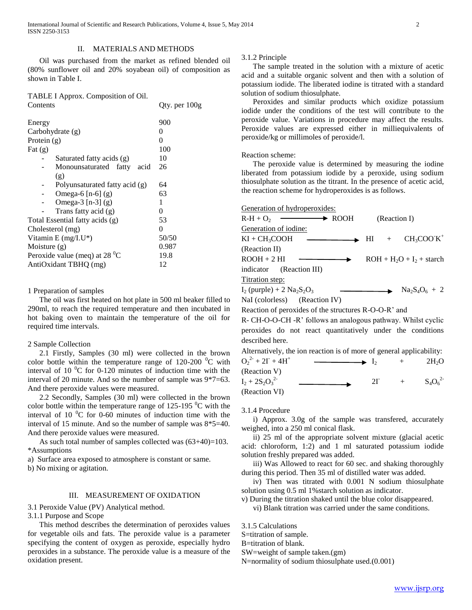Oil was purchased from the market as refined blended oil (80% sunflower oil and 20% soyabean oil) of composition as shown in Table I.

| TABLE I Approx. Composition of Oil. |               |  |
|-------------------------------------|---------------|--|
| Contents                            | Qty. per 100g |  |
|                                     |               |  |
| Energy                              | 900           |  |
| Carbohydrate (g)                    | 0             |  |
| Protein $(g)$                       | 0             |  |
| Fat $(g)$                           | 100           |  |
| Saturated fatty acids (g)           | 10            |  |
| Monounsaturated fatty<br>acid       | 26            |  |
| $\left( \mathbf{g} \right)$         |               |  |
| Polyunsaturated fatty acid (g)      | 64            |  |
| Omega-6 $[n-6]$ (g)                 | 63            |  |
| Omega-3 $[n-3]$ (g)                 | 1             |  |
| Trans fatty acid (g)                | 0             |  |
| Total Essential fatty acids (g)     | 53            |  |
| Cholesterol (mg)                    | 0             |  |
| Vitamin E $(mg/LU^*)$               | 50/50         |  |
| Moisture $(g)$                      | 0.987         |  |
| Peroxide value (meq) at 28 $^0C$    | 19.8          |  |
| AntiOxidant TBHQ (mg)               | 12            |  |

#### 1 Preparation of samples

 The oil was first heated on hot plate in 500 ml beaker filled to 290ml, to reach the required temperature and then incubated in hot baking oven to maintain the temperature of the oil for required time intervals.

## 2 Sample Collection

 2.1 Firstly, Samples (30 ml) were collected in the brown color bottle within the temperature range of  $120-200$  °C with interval of 10 $\mathrm{^{0}C}$  for 0-120 minutes of induction time with the interval of 20 minute. And so the number of sample was 9\*7=63. And there peroxide values were measured.

 2.2 Secondly, Samples (30 ml) were collected in the brown color bottle within the temperature range of  $125-195$  °C with the interval of 10 $\degree$ C for 0-60 minutes of induction time with the interval of 15 minute. And so the number of sample was 8\*5=40. And there peroxide values were measured.

As such total number of samples collected was  $(63+40)=103$ . \*Assumptions

a) Surface area exposed to atmosphere is constant or same.

b) No mixing or agitation.

## III. MEASUREMENT OF OXIDATION

3.1 Peroxide Value (PV) Analytical method.

3.1.1 Purpose and Scope

 This method describes the determination of peroxides values for vegetable oils and fats. The peroxide value is a parameter specifying the content of oxygen as peroxide, especially hydro peroxides in a substance. The peroxide value is a measure of the oxidation present.

3.1.2 Principle

 The sample treated in the solution with a mixture of acetic acid and a suitable organic solvent and then with a solution of potassium iodide. The liberated iodine is titrated with a standard solution of sodium thiosulphate.

 Peroxides and similar products which oxidize potassium iodide under the conditions of the test will contribute to the peroxide value. Variations in procedure may affect the results. Peroxide values are expressed either in milliequivalents of peroxide/kg or millimoles of peroxide/l.

#### Reaction scheme:

 The peroxide value is determined by measuring the iodine liberated from potassium iodide by a peroxide, using sodium thiosulphate solution as the titrant. In the presence of acetic acid, the reaction scheme for hydroperoxides is as follows.

Generation of hydroperoxides:  $R-H + O_2 \longrightarrow \text{ROOH}$  (Reaction I) Generation of iodine:  $KI + CH_3COOH$   $\longrightarrow$  HI +  $CH<sub>3</sub>COO<sup>+</sup>K<sup>+</sup>$ (Reaction II)  $ROOH + 2 HI$   $\longrightarrow$   $ROH + H<sub>2</sub>O + I<sub>2</sub> + startch$ indicator (Reaction III) Titration step:  $I_2$  (purple) + 2 Na<sub>2</sub>S<sub>2</sub>O<sub>3</sub>  $\longrightarrow$  Na<sub>2</sub>S<sub>4</sub>O<sub>6</sub> + 2 NaI (colorless) (Reaction IV) Reaction of peroxides of the structures R-O-O-R' and R- CH-O-O-CH -R' follows an analogous pathway. Whilst cyclic peroxides do not react quantitatively under the conditions described here. Alternatively, the ion reaction is of more of general applicability:  $O_2^2$ <sup>2-</sup> + 2I<sup>-</sup> + 4H<sup>+</sup>  $I_2$  +  $2H_2O$ 

| (Reaction V)        |  |              |
|---------------------|--|--------------|
| $I_2 + 2S_2O_3^{2}$ |  | $S_4O_6^{2}$ |
| (Reaction VI)       |  |              |

3.1.4 Procedure

 i) Approx. 3.0g of the sample was transfered, accurately weighed, into a 250 ml conical flask.

 ii) 25 ml of the appropriate solvent mixture (glacial acetic acid: chloroform, 1:2) and 1 ml saturated potassium iodide solution freshly prepared was added.

 iii) Was Allowed to react for 60 sec. and shaking thoroughly during this period. Then 35 ml of distilled water was added.

 iv) Then was titrated with 0.001 N sodium thiosulphate solution using 0.5 ml 1% starch solution as indicator.

v) During the titration shaked until the blue color disappeared. vi) Blank titration was carried under the same conditions.

3.1.5 Calculations

S=titration of sample.

B=titration of blank.

SW=weight of sample taken.(gm)

N=normality of sodium thiosulphate used.(0.001)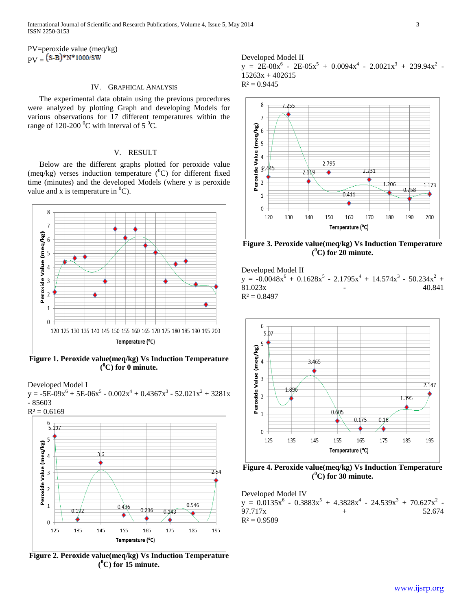PV=peroxide value (meq/kg)  $PV = (S-B)*N*1000/SW$ 

#### IV. GRAPHICAL ANALYSIS

 The experimental data obtain using the previous procedures were analyzed by plotting Graph and developing Models for various observations for 17 different temperatures within the range of 120-200  $^0$ C with interval of 5  $^0$ C.

## V. RESULT

 Below are the different graphs plotted for peroxide value (meq/kg) verses induction temperature  $({}^{0}C)$  for different fixed time (minutes) and the developed Models (where y is peroxide value and x is temperature in  ${}^{0}C$ ).



**Figure 1. Peroxide value(meq/kg) Vs Induction Temperature ( <sup>0</sup>C) for 0 minute.**

Developed Model I  $y = -5E-09x^{6} + 5E-06x^{5} - 0.002x^{4} + 0.4367x^{3} - 52.021x^{2} + 3281x$ - 85603



**Figure 2. Peroxide value(meq/kg) Vs Induction Temperature ( <sup>0</sup>C) for 15 minute.**

Developed Model II  $y = 2E-08x^{6} - 2E-05x^{5} + 0.0094x^{4} - 2.0021x^{3} + 239.94x^{2}$ 15263x + 402615  $R^2 = 0.9445$ 



**Figure 3. Peroxide value(meq/kg) Vs Induction Temperature ( <sup>0</sup>C) for 20 minute.**

Developed Model II  $y = -0.0048x^{6} + 0.1628x^{5} - 2.1795x^{4} + 14.574x^{3} - 50.234x^{2} +$ 81.023x 40.841  $R^2 = 0.8497$ 



**Figure 4. Peroxide value(meq/kg) Vs Induction Temperature ( <sup>0</sup>C) for 30 minute.**

Developed Model IV  $y = 0.0135x^{6} - 0.3883x^{5} + 4.3828x^{4} - 24.539x^{3} + 70.627x^{2}$ 97.717x  $+$  52.674  $R^2 = 0.9589$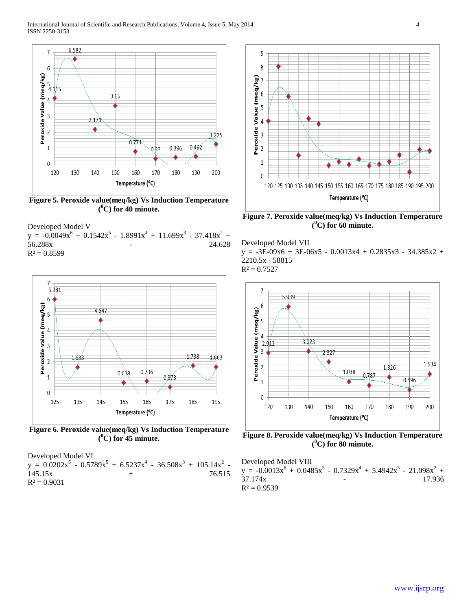

**Figure 5. Peroxide value(meq/kg) Vs Induction Temperature ( <sup>0</sup>C) for 40 minute.**

Developed Model V  $y = -0.0049x^{6} + 0.1542x^{5} - 1.8991x^{4} + 11.699x^{3} - 37.418x^{2} +$ 56.288x - 24.628  $R^2 = 0.8599$ 



**Figure 6. Peroxide value(meq/kg) Vs Induction Temperature ( <sup>0</sup>C) for 45 minute.**

Developed Model VI  $y = 0.0202x^6 - 0.5789x^5 + 6.5237x^4 - 36.508x^3 + 105.14x^2$ 145.15x + 76.515  $R^2 = 0.9031$ 



**Figure 7. Peroxide value(meq/kg) Vs Induction Temperature ( <sup>0</sup>C) for 60 minute.**

Developed Model VII  $y = -3E-09x6 + 3E-06x5 - 0.0013x4 + 0.2835x3 - 34.385x2 +$ 2210.5x - 58815  $R^2 = 0.7527$ 



**Figure 8. Peroxide value(meq/kg) Vs Induction Temperature ( <sup>0</sup>C) for 80 minute.**

Developed Model VIII  $y = -0.0013x^{6} + 0.0485x^{5} - 0.7329x^{4} + 5.4942x^{3} - 21.098x^{2} +$ 37.174x - 17.936  $R^2 = 0.9539$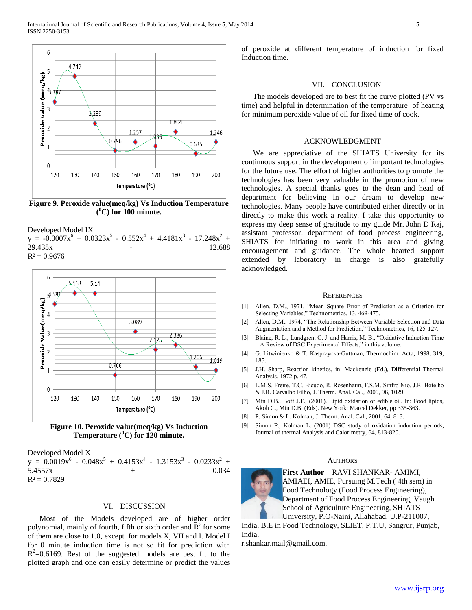

**Figure 9. Peroxide value(meq/kg) Vs Induction Temperature ( <sup>0</sup>C) for 100 minute.**

Developed Model IX

 $y = -0.0007x^{6} + 0.0323x^{5} - 0.552x^{4} + 4.4181x^{3} - 17.248x^{2} +$ 29.435x - 12.688  $R^2 = 0.9676$ 





Developed Model X  $y = 0.0019x^{6} - 0.048x^{5} + 0.4153x^{4} - 1.3153x^{3} - 0.0233x^{2} +$  $5.4557x + 0.034$  $R^2 = 0.7829$ 

## VI. DISCUSSION

 Most of the Models developed are of higher order polynomial, mainly of fourth, fifth or sixth order and  $R^2$  for some of them are close to 1.0, except for models X, VII and I. Model I for 0 minute induction time is not so fit for prediction with  $R^2$ =0.6169. Rest of the suggested models are best fit to the plotted graph and one can easily determine or predict the values

of peroxide at different temperature of induction for fixed Induction time.

#### VII. CONCLUSION

 The models developed are to best fit the curve plotted (PV vs time) and helpful in determination of the temperature of heating for minimum peroxide value of oil for fixed time of cook.

## ACKNOWLEDGMENT

 We are appreciative of the SHIATS University for its continuous support in the development of important technologies for the future use. The effort of higher authorities to promote the technologies has been very valuable in the promotion of new technologies. A special thanks goes to the dean and head of department for believing in our dream to develop new technologies. Many people have contributed either directly or in directly to make this work a reality. I take this opportunity to express my deep sense of gratitude to my guide Mr. John D Raj, assistant professor, department of food process engineering, SHIATS for initiating to work in this area and giving encouragement and guidance. The whole hearted support extended by laboratory in charge is also gratefully acknowledged.

#### **REFERENCES**

- [1] Allen, D.M., 1971, "Mean Square Error of Prediction as a Criterion for Selecting Variables," Technometrics, 13, 469-475.
- [2] Allen, D.M., 1974, "The Relationship Between Variable Selection and Data Augmentation and a Method for Prediction," Technometrics, 16, 125-127.
- [3] Blaine, R. L., Lundgren, C. J. and Harris, M. B., "Oxidative Induction Time – A Review of DSC Experimental Effects," in this volume.
- [4] G. Litwinienko & T. Kasprzycka-Guttman, Thermochim. Acta, 1998, 319, 185.
- [5] J.H. Sharp, Reaction kinetics, in: Mackenzie (Ed.), Differential Thermal Analysis, 1972 p. 47.
- [6] L.M.S. Freire, T.C. Bicudo, R. Rosenhaim, F.S.M. SinfroˆNio, J.R. Botelho & J.R. Carvalho Filho, J. Therm. Anal. Cal., 2009, 96, 1029.
- [7] Min D.B., Boff J.F., (2001). Lipid oxidation of edible oil. In: Food lipids, Akoh C., Min D.B. (Eds). New York: Marcel Dekker, pp 335-363.
- [8] P. Simon & L. Kolman, J. Therm. Anal. Cal., 2001, 64, 813.
- [9] Simon P., Kolman L. (2001) DSC study of oxidation induction periods, Journal of thermal Analysis and Calorimetry, 64, 813-820.

#### AUTHORS



**First Author** – RAVI SHANKAR- AMIMI, AMIAEI, AMIE, Pursuing M.Tech ( 4th sem) in Food Technology (Food Process Engineering), Department of Food Process Engineering, Vaugh School of Agriculture Engineering, SHIATS University, P.O-Naini, Allahabad, U.P-211007,

India. B.E in Food Technology, SLIET, P.T.U, Sangrur, Punjab, India.

r.shankar.mail@gmail.com.